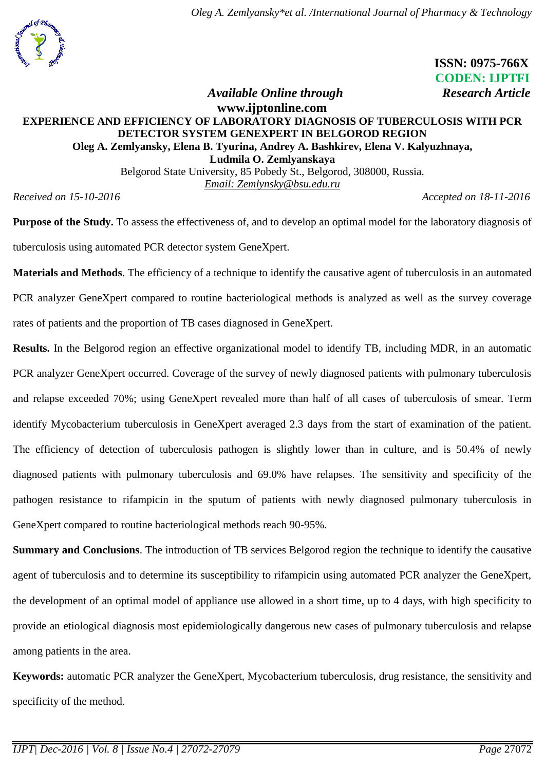

 **ISSN: 0975-766X CODEN: IJPTFI** *Available Online through* Research Article

## **[www.ijptonline.com](http://www.ijptonline.com/) EXPERIENCE AND EFFICIENCY OF LABORATORY DIAGNOSIS OF TUBERCULOSIS WITH PCR DETECTOR SYSTEM GENEXPERT IN BELGOROD REGION Oleg A. Zemlyansky, Elena B. Tyurina, Andrey A. Bashkirev, Elena V. Kalyuzhnaya, Ludmila O. Zemlyanskaya**

Belgorod State University, 85 Pobedy St., Belgorod, 308000, Russia. *Email: [Zemlynsky@bsu.edu.ru](mailto:Zemlynsky@bsu.edu.ru)*

*Received on 15-10-2016 Accepted on 18-11-2016*

**Purpose of the Study.** To assess the effectiveness of, and to develop an optimal model for the laboratory diagnosis of tuberculosis using automated PCR detector system GeneXpert.

**Materials and Methods**. The efficiency of a technique to identify the causative agent of tuberculosis in an automated PCR analyzer GeneXpert compared to routine bacteriological methods is analyzed as well as the survey coverage rates of patients and the proportion of TB cases diagnosed in GeneXpert.

**Results.** In the Belgorod region an effective organizational model to identify TB, including MDR, in an automatic PCR analyzer GeneXpert occurred. Coverage of the survey of newly diagnosed patients with pulmonary tuberculosis and relapse exceeded 70%; using GeneXpert revealed more than half of all cases of tuberculosis of smear. Term identify Mycobacterium tuberculosis in GeneXpert averaged 2.3 days from the start of examination of the patient. The efficiency of detection of tuberculosis pathogen is slightly lower than in culture, and is 50.4% of newly diagnosed patients with pulmonary tuberculosis and 69.0% have relapses. The sensitivity and specificity of the pathogen resistance to rifampicin in the sputum of patients with newly diagnosed pulmonary tuberculosis in GeneXpert compared to routine bacteriological methods reach 90-95%.

**Summary and Conclusions**. The introduction of TB services Belgorod region the technique to identify the causative agent of tuberculosis and to determine its susceptibility to rifampicin using automated PCR analyzer the GeneXpert, the development of an optimal model of appliance use allowed in a short time, up to 4 days, with high specificity to provide an etiological diagnosis most epidemiologically dangerous new cases of pulmonary tuberculosis and relapse among patients in the area.

**Keywords:** automatic PCR analyzer the GeneXpert, Mycobacterium tuberculosis, drug resistance, the sensitivity and specificity of the method.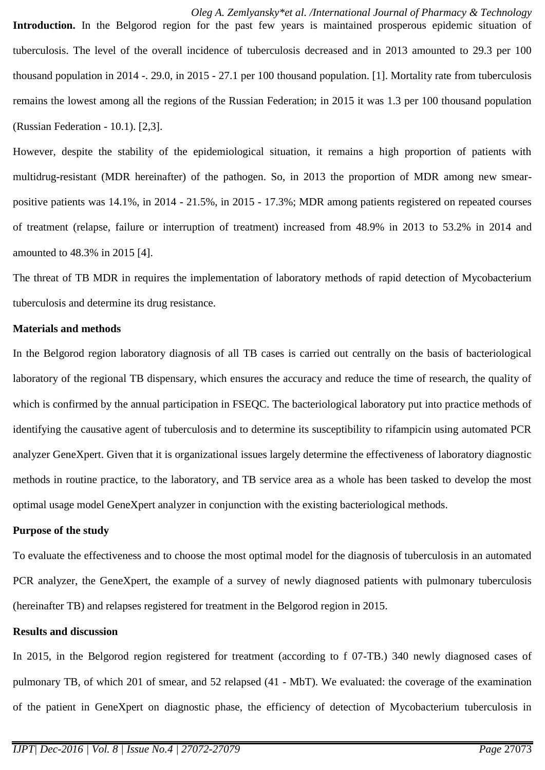*Oleg A. Zemlyansky\*et al. /International Journal of Pharmacy & Technology* **Introduction.** In the Belgorod region for the past few years is maintained prosperous epidemic situation of tuberculosis. The level of the overall incidence of tuberculosis decreased and in 2013 amounted to 29.3 per 100 thousand population in 2014 -. 29.0, in 2015 - 27.1 per 100 thousand population. [1]. Mortality rate from tuberculosis remains the lowest among all the regions of the Russian Federation; in 2015 it was 1.3 per 100 thousand population (Russian Federation - 10.1). [2,3].

However, despite the stability of the epidemiological situation, it remains a high proportion of patients with multidrug-resistant (MDR hereinafter) of the pathogen. So, in 2013 the proportion of MDR among new smearpositive patients was 14.1%, in 2014 - 21.5%, in 2015 - 17.3%; MDR among patients registered on repeated courses of treatment (relapse, failure or interruption of treatment) increased from 48.9% in 2013 to 53.2% in 2014 and amounted to 48.3% in 2015 [4].

The threat of TB MDR in requires the implementation of laboratory methods of rapid detection of Mycobacterium tuberculosis and determine its drug resistance.

#### **Materials and methods**

In the Belgorod region laboratory diagnosis of all TB cases is carried out centrally on the basis of bacteriological laboratory of the regional TB dispensary, which ensures the accuracy and reduce the time of research, the quality of which is confirmed by the annual participation in FSEQC. The bacteriological laboratory put into practice methods of identifying the causative agent of tuberculosis and to determine its susceptibility to rifampicin using automated PCR analyzer GeneXpert. Given that it is organizational issues largely determine the effectiveness of laboratory diagnostic methods in routine practice, to the laboratory, and TB service area as a whole has been tasked to develop the most optimal usage model GeneXpert analyzer in conjunction with the existing bacteriological methods.

### **Purpose of the study**

To evaluate the effectiveness and to choose the most optimal model for the diagnosis of tuberculosis in an automated PCR analyzer, the GeneXpert, the example of a survey of newly diagnosed patients with pulmonary tuberculosis (hereinafter TB) and relapses registered for treatment in the Belgorod region in 2015.

#### **Results and discussion**

In 2015, in the Belgorod region registered for treatment (according to f 07-TB.) 340 newly diagnosed cases of pulmonary TB, of which 201 of smear, and 52 relapsed (41 - MbT). We evaluated: the coverage of the examination of the patient in GeneXpert on diagnostic phase, the efficiency of detection of Mycobacterium tuberculosis in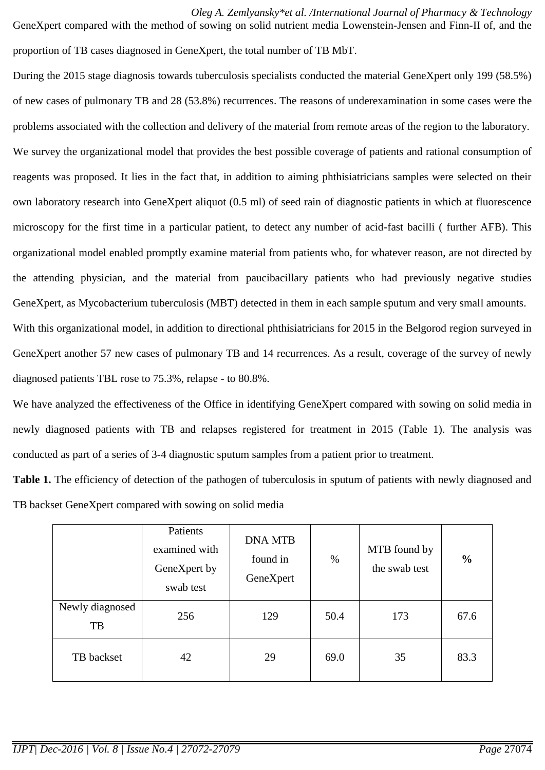*Oleg A. Zemlyansky\*et al. /International Journal of Pharmacy & Technology* GeneXpert compared with the method of sowing on solid nutrient media Lowenstein-Jensen and Finn-II of, and the proportion of TB cases diagnosed in GeneXpert, the total number of TB MbT.

During the 2015 stage diagnosis towards tuberculosis specialists conducted the material GeneXpert only 199 (58.5%) of new cases of pulmonary TB and 28 (53.8%) recurrences. The reasons of underexamination in some cases were the problems associated with the collection and delivery of the material from remote areas of the region to the laboratory. We survey the organizational model that provides the best possible coverage of patients and rational consumption of reagents was proposed. It lies in the fact that, in addition to aiming phthisiatricians samples were selected on their own laboratory research into GeneXpert aliquot (0.5 ml) of seed rain of diagnostic patients in which at fluorescence microscopy for the first time in a particular patient, to detect any number of acid-fast bacilli ( further AFB). This organizational model enabled promptly examine material from patients who, for whatever reason, are not directed by the attending physician, and the material from paucibacillary patients who had previously negative studies GeneXpert, as Mycobacterium tuberculosis (MBT) detected in them in each sample sputum and very small amounts. With this organizational model, in addition to directional phthisiatricians for 2015 in the Belgorod region surveyed in GeneXpert another 57 new cases of pulmonary TB and 14 recurrences. As a result, coverage of the survey of newly

diagnosed patients TBL rose to 75.3%, relapse - to 80.8%.

We have analyzed the effectiveness of the Office in identifying GeneXpert compared with sowing on solid media in newly diagnosed patients with TB and relapses registered for treatment in 2015 (Table 1). The analysis was conducted as part of a series of 3-4 diagnostic sputum samples from a patient prior to treatment.

**Table 1.** The efficiency of detection of the pathogen of tuberculosis in sputum of patients with newly diagnosed and TB backset GeneXpert compared with sowing on solid media

|                       | Patients<br>examined with<br>GeneXpert by<br>swab test | <b>DNA MTB</b><br>found in<br>GeneXpert | $\%$ | MTB found by<br>the swab test | $\frac{6}{6}$ |
|-----------------------|--------------------------------------------------------|-----------------------------------------|------|-------------------------------|---------------|
| Newly diagnosed<br>TB | 256                                                    | 129                                     | 50.4 | 173                           | 67.6          |
| TB backset            | 42                                                     | 29                                      | 69.0 | 35                            | 83.3          |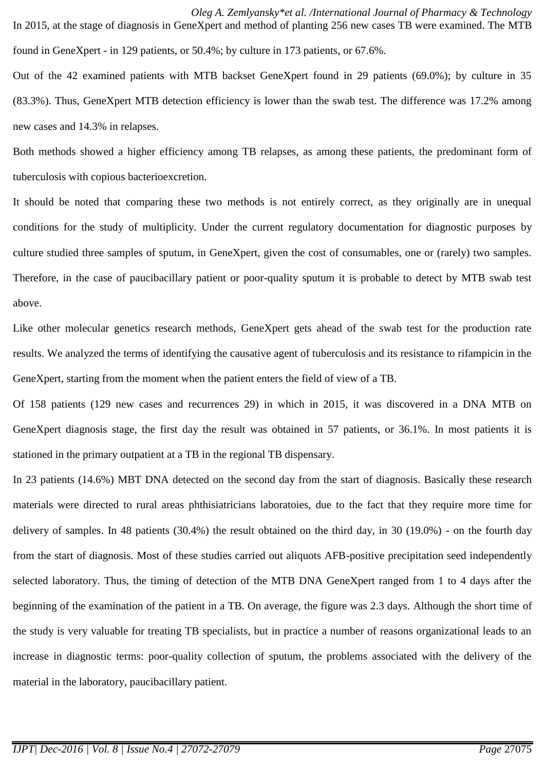*Oleg A. Zemlyansky\*et al. /International Journal of Pharmacy & Technology* In 2015, at the stage of diagnosis in GeneXpert and method of planting 256 new cases TB were examined. The MTB found in GeneXpert - in 129 patients, or 50.4%; by culture in 173 patients, or 67.6%.

Out of the 42 examined patients with MTB backset GeneXpert found in 29 patients (69.0%); by culture in 35 (83.3%). Thus, GeneXpert MTB detection efficiency is lower than the swab test. The difference was 17.2% among new cases and 14.3% in relapses.

Both methods showed a higher efficiency among TB relapses, as among these patients, the predominant form of tuberculosis with copious bacterioexcretion.

It should be noted that comparing these two methods is not entirely correct, as they originally are in unequal conditions for the study of multiplicity. Under the current regulatory documentation for diagnostic purposes by culture studied three samples of sputum, in GeneXpert, given the cost of consumables, one or (rarely) two samples. Therefore, in the case of paucibacillary patient or poor-quality sputum it is probable to detect by MTB swab test above.

Like other molecular genetics research methods, GeneXpert gets ahead of the swab test for the production rate results. We analyzed the terms of identifying the causative agent of tuberculosis and its resistance to rifampicin in the GeneXpert, starting from the moment when the patient enters the field of view of a TB.

Of 158 patients (129 new cases and recurrences 29) in which in 2015, it was discovered in a DNA MTB on GeneXpert diagnosis stage, the first day the result was obtained in 57 patients, or 36.1%. In most patients it is stationed in the primary outpatient at a TB in the regional TB dispensary.

In 23 patients (14.6%) MBT DNA detected on the second day from the start of diagnosis. Basically these research materials were directed to rural areas phthisiatricians laboratoies, due to the fact that they require more time for delivery of samples. In 48 patients (30.4%) the result obtained on the third day, in 30 (19.0%) - on the fourth day from the start of diagnosis. Most of these studies carried out aliquots AFB-positive precipitation seed independently selected laboratory. Thus, the timing of detection of the MTB DNA GeneXpert ranged from 1 to 4 days after the beginning of the examination of the patient in a TB. On average, the figure was 2.3 days. Although the short time of the study is very valuable for treating TB specialists, but in practice a number of reasons organizational leads to an increase in diagnostic terms: poor-quality collection of sputum, the problems associated with the delivery of the material in the laboratory, paucibacillary patient.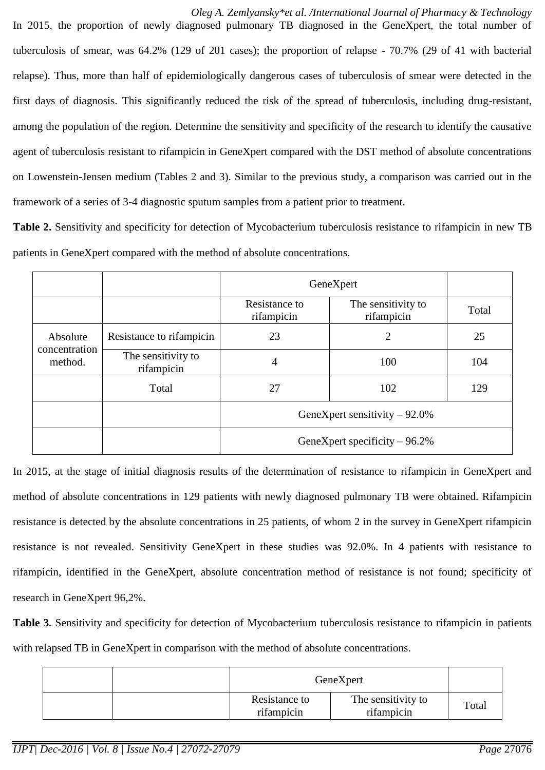*Oleg A. Zemlyansky\*et al. /International Journal of Pharmacy & Technology* In 2015, the proportion of newly diagnosed pulmonary TB diagnosed in the GeneXpert, the total number of tuberculosis of smear, was 64.2% (129 of 201 cases); the proportion of relapse - 70.7% (29 of 41 with bacterial relapse). Thus, more than half of epidemiologically dangerous cases of tuberculosis of smear were detected in the first days of diagnosis. This significantly reduced the risk of the spread of tuberculosis, including drug-resistant, among the population of the region. Determine the sensitivity and specificity of the research to identify the causative agent of tuberculosis resistant to rifampicin in GeneXpert compared with the DST method of absolute concentrations on Lowenstein-Jensen medium (Tables 2 and 3). Similar to the previous study, a comparison was carried out in the framework of a series of 3-4 diagnostic sputum samples from a patient prior to treatment.

**Table 2.** Sensitivity and specificity for detection of Mycobacterium tuberculosis resistance to rifampicin in new TB patients in GeneXpert compared with the method of absolute concentrations.

|                                      |                                  | GeneXpert                       |                                  |       |
|--------------------------------------|----------------------------------|---------------------------------|----------------------------------|-------|
|                                      |                                  | Resistance to<br>rifampicin     | The sensitivity to<br>rifampicin | Total |
| Absolute<br>concentration<br>method. | Resistance to rifampicin         | 23                              | $\overline{2}$                   | 25    |
|                                      | The sensitivity to<br>rifampicin | 4                               | 100                              | 104   |
|                                      | Total                            | 27                              | 102                              | 129   |
|                                      |                                  | GeneXpert sensitivity $-92.0\%$ |                                  |       |
|                                      |                                  | GeneXpert specificity $-96.2%$  |                                  |       |

In 2015, at the stage of initial diagnosis results of the determination of resistance to rifampicin in GeneXpert and method of absolute concentrations in 129 patients with newly diagnosed pulmonary TB were obtained. Rifampicin resistance is detected by the absolute concentrations in 25 patients, of whom 2 in the survey in GeneXpert rifampicin resistance is not revealed. Sensitivity GeneXpert in these studies was 92.0%. In 4 patients with resistance to rifampicin, identified in the GeneXpert, absolute concentration method of resistance is not found; specificity of research in GeneXpert 96,2%.

**Table 3.** Sensitivity and specificity for detection of Mycobacterium tuberculosis resistance to rifampicin in patients with relapsed TB in GeneXpert in comparison with the method of absolute concentrations.

| GeneXpert                   |                                  |       |
|-----------------------------|----------------------------------|-------|
| Resistance to<br>rifampicin | The sensitivity to<br>rifampicin | Total |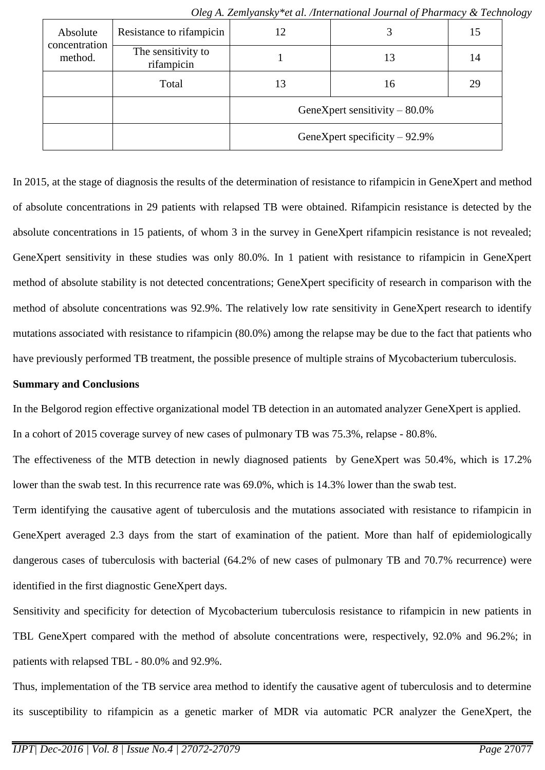| Absolute<br>concentration<br>method. | Resistance to rifampicin         | 12                              |    | 15 |
|--------------------------------------|----------------------------------|---------------------------------|----|----|
|                                      | The sensitivity to<br>rifampicin |                                 | 13 | 14 |
|                                      | Total                            | 13                              | 16 | 29 |
|                                      |                                  | GeneXpert sensitivity $-80.0\%$ |    |    |
|                                      |                                  | GeneXpert specificity $-92.9\%$ |    |    |

*Oleg A. Zemlyansky\*et al. /International Journal of Pharmacy & Technology*

In 2015, at the stage of diagnosis the results of the determination of resistance to rifampicin in GeneXpert and method of absolute concentrations in 29 patients with relapsed TB were obtained. Rifampicin resistance is detected by the absolute concentrations in 15 patients, of whom 3 in the survey in GeneXpert rifampicin resistance is not revealed; GeneXpert sensitivity in these studies was only 80.0%. In 1 patient with resistance to rifampicin in GeneXpert method of absolute stability is not detected concentrations; GeneXpert specificity of research in comparison with the method of absolute concentrations was 92.9%. The relatively low rate sensitivity in GeneXpert research to identify mutations associated with resistance to rifampicin (80.0%) among the relapse may be due to the fact that patients who have previously performed TB treatment, the possible presence of multiple strains of Mycobacterium tuberculosis.

### **Summary and Conclusions**

In the Belgorod region effective organizational model TB detection in an automated analyzer GeneXpert is applied.

In a cohort of 2015 coverage survey of new cases of pulmonary TB was 75.3%, relapse - 80.8%.

The effectiveness of the MTB detection in newly diagnosed patients by GeneXpert was 50.4%, which is 17.2% lower than the swab test. In this recurrence rate was 69.0%, which is 14.3% lower than the swab test.

Term identifying the causative agent of tuberculosis and the mutations associated with resistance to rifampicin in GeneXpert averaged 2.3 days from the start of examination of the patient. More than half of epidemiologically dangerous cases of tuberculosis with bacterial (64.2% of new cases of pulmonary TB and 70.7% recurrence) were identified in the first diagnostic GeneXpert days.

Sensitivity and specificity for detection of Mycobacterium tuberculosis resistance to rifampicin in new patients in TBL GeneXpert compared with the method of absolute concentrations were, respectively, 92.0% and 96.2%; in patients with relapsed TBL - 80.0% and 92.9%.

Thus, implementation of the TB service area method to identify the causative agent of tuberculosis and to determine its susceptibility to rifampicin as a genetic marker of MDR via automatic PCR analyzer the GeneXpert, the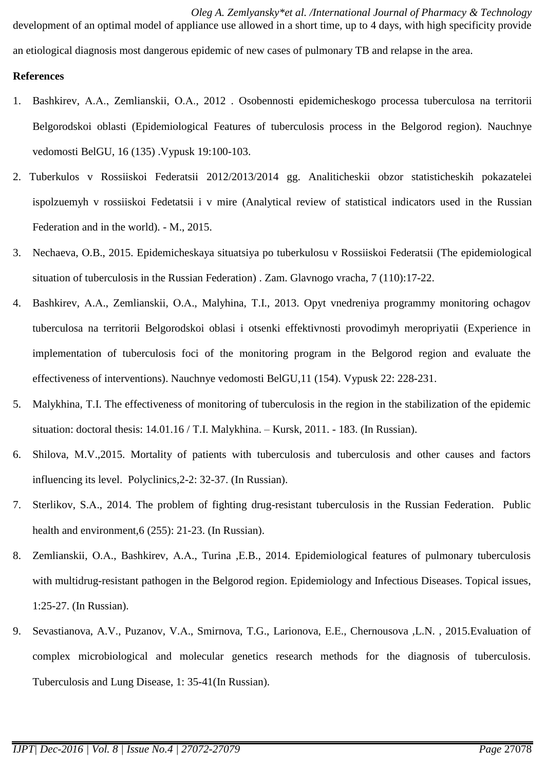*Oleg A. Zemlyansky\*et al. /International Journal of Pharmacy & Technology* development of an optimal model of appliance use allowed in a short time, up to 4 days, with high specificity provide an etiological diagnosis most dangerous epidemic of new cases of pulmonary TB and relapse in the area.

# **References**

- 1. Bashkirev, А.А., Zemlianskii, О.А., 2012 . Osobennosti epidemicheskogo processa tuberculosa na territorii Belgorodskoi oblasti (Epidemiological Features of tuberculosis process in the Belgorod region). Nauchnye vedomosti BelGU, 16 (135) .Vypusk 19:100-103.
- 2. Tuberkulos v Rossiiskoi Federatsii 2012/2013/2014 gg. Analiticheskii obzor statisticheskih pokazatelei ispolzuemyh v rossiiskoi Fedetatsii i v mire (Analytical review of statistical indicators used in the Russian Federation and in the world). - M., 2015.
- 3. Nechaeva, О.B., 2015. Epidemicheskaya situatsiya po tuberkulosu v Rossiiskoi Federatsii (The epidemiological situation of tuberculosis in the Russian Federation) . Zam. Glavnogo vracha, 7 (110):17-22.
- 4. Bashkirev, А.А., Zemlianskii, О.А., Malyhina, Т.I., 2013. Opyt vnedreniya programmy monitoring ochagov tuberculosa na territorii Belgorodskoi oblasi i otsenki effektivnosti provodimyh meropriyatii (Experience in implementation of tuberculosis foci of the monitoring program in the Belgorod region and evaluate the effectiveness of interventions). Nauchnye vedomosti BelGU,11 (154). Vypusk 22: 228-231.
- 5. Malykhina, Т.I. The effectiveness of monitoring of tuberculosis in the region in the stabilization of the epidemic situation: doctoral thesis: 14.01.16 / T.I. Malykhina. – Kursk, 2011. - 183. (In Russian).
- 6. Shilova, М.V.,2015. Mortality of patients with tuberculosis and tuberculosis and other causes and factors influencing its level. Polyclinics,2-2: 32-37. (In Russian).
- 7. Sterlikov, S.А., 2014. The problem of fighting drug-resistant tuberculosis in the Russian Federation. Public health and environment,6 (255): 21-23. (In Russian).
- 8. Zemlianskii, О.А., Bashkirev, А.А., Turina ,Е.B., 2014. Epidemiological features of pulmonary tuberculosis with multidrug-resistant pathogen in the Belgorod region. Epidemiology and Infectious Diseases. Topical issues, 1:25-27. (In Russian).
- 9. Sevastianova, A.V., Puzanov, V.А., Smirnova, Т.G., Larionova, Е.Е., Chernousova ,L.N. , 2015.Evaluation of complex microbiological and molecular genetics research methods for the diagnosis of tuberculosis. Tuberculosis and Lung Disease, 1: 35-41(In Russian).